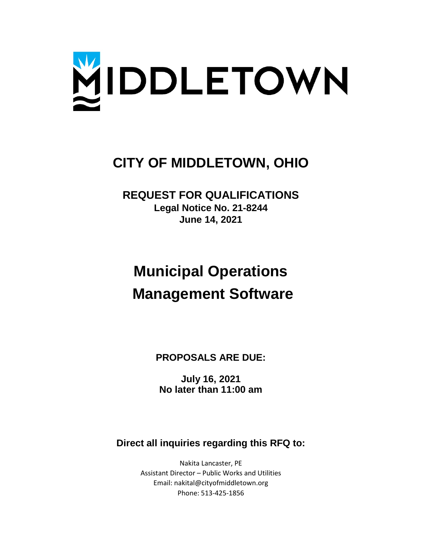

## **CITY OF MIDDLETOWN, OHIO**

**REQUEST FOR QUALIFICATIONS Legal Notice No. 21-8244 June 14, 2021**

# **Municipal Operations Management Software**

**PROPOSALS ARE DUE:**

**July 16, 2021 No later than 11:00 am**

**Direct all inquiries regarding this RFQ to:**

Nakita Lancaster, PE Assistant Director – Public Works and Utilities Email: nakital@cityofmiddletown.org Phone: 513-425-1856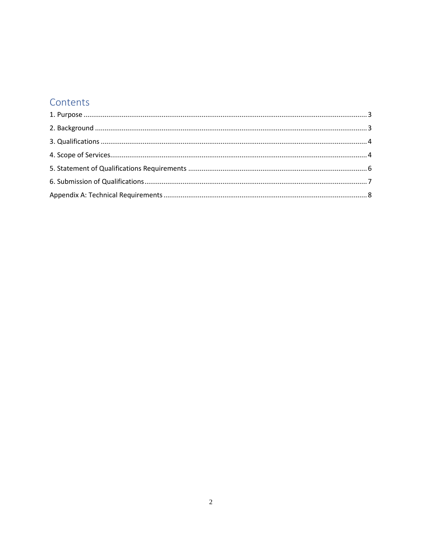### Contents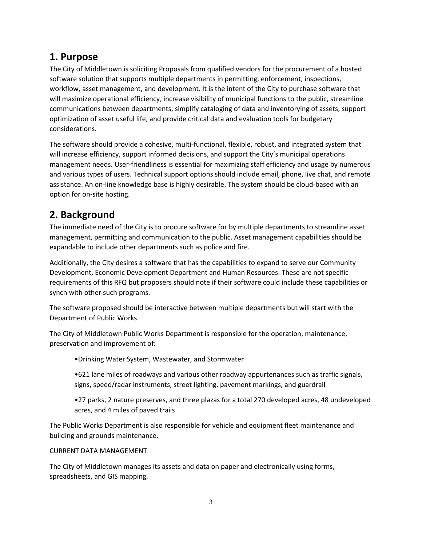### <span id="page-2-0"></span>**1. Purpose**

The City of Middletown is soliciting Proposals from qualified vendors for the procurement of a hosted software solution that supports multiple departments in permitting, enforcement, inspections, workflow, asset management, and development. It is the intent of the City to purchase software that will maximize operational efficiency, increase visibility of municipal functions to the public, streamline communications between departments, simplify cataloging of data and inventorying of assets, support optimization of asset useful life, and provide critical data and evaluation tools for budgetary considerations.

The software should provide a cohesive, multi-functional, flexible, robust, and integrated system that will increase efficiency, support informed decisions, and support the City's municipal operations management needs. User-friendliness is essential for maximizing staff efficiency and usage by numerous and various types of users. Technical support options should include email, phone, live chat, and remote assistance. An on-line knowledge base is highly desirable. The system should be cloud-based with an option for on-site hosting.

### <span id="page-2-1"></span>**2. Background**

The immediate need of the City is to procure software for by multiple departments to streamline asset management, permitting and communication to the public. Asset management capabilities should be expandable to include other departments such as police and fire.

Additionally, the City desires a software that has the capabilities to expand to serve our Community Development, Economic Development Department and Human Resources. These are not specific requirements of this RFQ but proposers should note if their software could include these capabilities or synch with other such programs.

The software proposed should be interactive between multiple departments but will start with the Department of Public Works.

The City of Middletown Public Works Department is responsible for the operation, maintenance, preservation and improvement of:

- •Drinking Water System, Wastewater, and Stormwater
- •621 lane miles of roadways and various other roadway appurtenances such as traffic signals, signs, speed/radar instruments, street lighting, pavement markings, and guardrail
- •27 parks, 2 nature preserves, and three plazas for a total 270 developed acres, 48 undeveloped acres, and 4 miles of paved trails

The Public Works Department is also responsible for vehicle and equipment fleet maintenance and building and grounds maintenance.

#### CURRENT DATA MANAGEMENT

The City of Middletown manages its assets and data on paper and electronically using forms, spreadsheets, and GIS mapping.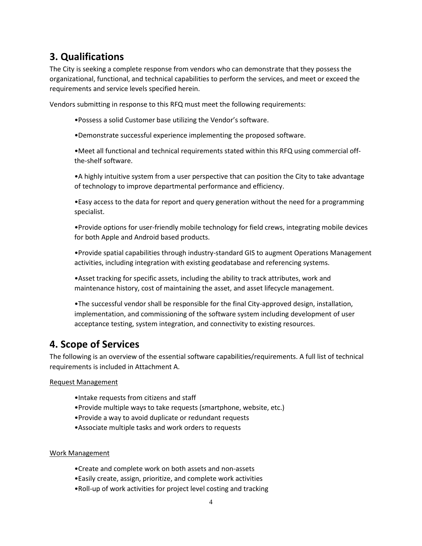### <span id="page-3-0"></span>**3. Qualifications**

The City is seeking a complete response from vendors who can demonstrate that they possess the organizational, functional, and technical capabilities to perform the services, and meet or exceed the requirements and service levels specified herein.

Vendors submitting in response to this RFQ must meet the following requirements:

- •Possess a solid Customer base utilizing the Vendor's software.
- •Demonstrate successful experience implementing the proposed software.

•Meet all functional and technical requirements stated within this RFQ using commercial offthe-shelf software.

•A highly intuitive system from a user perspective that can position the City to take advantage of technology to improve departmental performance and efficiency.

•Easy access to the data for report and query generation without the need for a programming specialist.

•Provide options for user-friendly mobile technology for field crews, integrating mobile devices for both Apple and Android based products.

•Provide spatial capabilities through industry-standard GIS to augment Operations Management activities, including integration with existing geodatabase and referencing systems.

•Asset tracking for specific assets, including the ability to track attributes, work and maintenance history, cost of maintaining the asset, and asset lifecycle management.

•The successful vendor shall be responsible for the final City-approved design, installation, implementation, and commissioning of the software system including development of user acceptance testing, system integration, and connectivity to existing resources.

### <span id="page-3-1"></span>**4. Scope of Services**

The following is an overview of the essential software capabilities/requirements. A full list of technical requirements is included in Attachment A.

#### Request Management

- •Intake requests from citizens and staff
- •Provide multiple ways to take requests (smartphone, website, etc.)
- •Provide a way to avoid duplicate or redundant requests
- •Associate multiple tasks and work orders to requests

#### Work Management

- •Create and complete work on both assets and non-assets
- •Easily create, assign, prioritize, and complete work activities
- •Roll-up of work activities for project level costing and tracking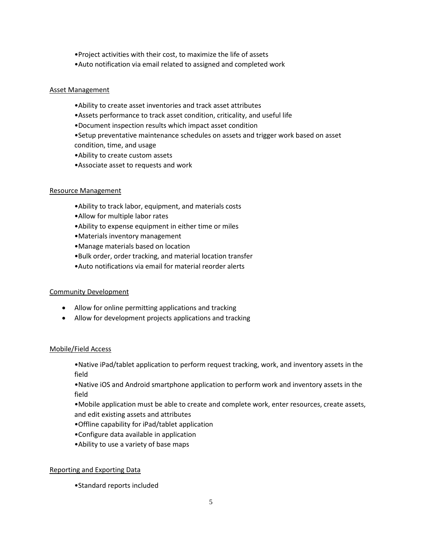- •Project activities with their cost, to maximize the life of assets
- •Auto notification via email related to assigned and completed work

#### Asset Management

- •Ability to create asset inventories and track asset attributes
- •Assets performance to track asset condition, criticality, and useful life
- •Document inspection results which impact asset condition
- •Setup preventative maintenance schedules on assets and trigger work based on asset condition, time, and usage
- •Ability to create custom assets
- •Associate asset to requests and work

#### Resource Management

- •Ability to track labor, equipment, and materials costs
- •Allow for multiple labor rates
- •Ability to expense equipment in either time or miles
- •Materials inventory management
- •Manage materials based on location
- •Bulk order, order tracking, and material location transfer
- •Auto notifications via email for material reorder alerts

#### Community Development

- Allow for online permitting applications and tracking
- Allow for development projects applications and tracking

#### Mobile/Field Access

•Native iPad/tablet application to perform request tracking, work, and inventory assets in the field

•Native iOS and Android smartphone application to perform work and inventory assets in the field

•Mobile application must be able to create and complete work, enter resources, create assets, and edit existing assets and attributes

- •Offline capability for iPad/tablet application
- •Configure data available in application
- •Ability to use a variety of base maps

#### Reporting and Exporting Data

•Standard reports included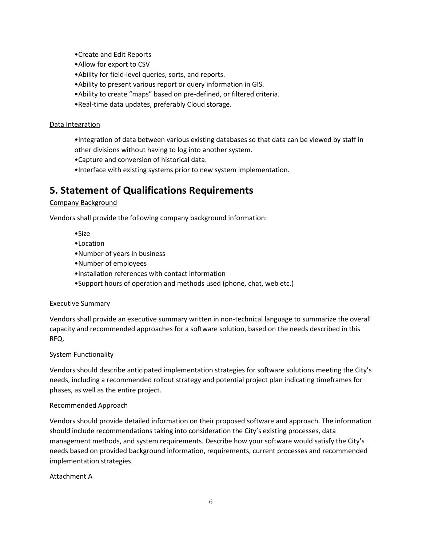- •Create and Edit Reports
- •Allow for export to CSV
- •Ability for field-level queries, sorts, and reports.
- •Ability to present various report or query information in GIS.
- •Ability to create "maps" based on pre-defined, or filtered criteria.
- •Real-time data updates, preferably Cloud storage.

#### Data Integration

- •Integration of data between various existing databases so that data can be viewed by staff in other divisions without having to log into another system.
- •Capture and conversion of historical data.
- •Interface with existing systems prior to new system implementation.

### <span id="page-5-0"></span>**5. Statement of Qualifications Requirements**

#### Company Background

Vendors shall provide the following company background information:

- •Size
- •Location
- •Number of years in business
- •Number of employees
- •Installation references with contact information
- •Support hours of operation and methods used (phone, chat, web etc.)

#### Executive Summary

Vendors shall provide an executive summary written in non-technical language to summarize the overall capacity and recommended approaches for a software solution, based on the needs described in this RFQ.

#### System Functionality

Vendors should describe anticipated implementation strategies for software solutions meeting the City's needs, including a recommended rollout strategy and potential project plan indicating timeframes for phases, as well as the entire project.

#### Recommended Approach

Vendors should provide detailed information on their proposed software and approach. The information should include recommendations taking into consideration the City's existing processes, data management methods, and system requirements. Describe how your software would satisfy the City's needs based on provided background information, requirements, current processes and recommended implementation strategies.

#### Attachment A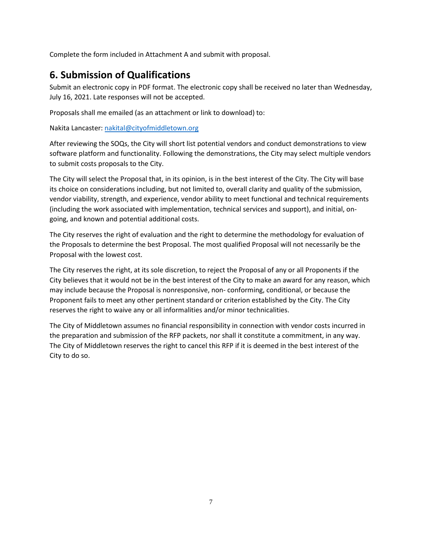Complete the form included in Attachment A and submit with proposal.

### <span id="page-6-0"></span>**6. Submission of Qualifications**

Submit an electronic copy in PDF format. The electronic copy shall be received no later than Wednesday, July 16, 2021. Late responses will not be accepted.

Proposals shall me emailed (as an attachment or link to download) to:

Nakita Lancaster[: nakital@cityofmiddletown.org](mailto:nakital@cityofmiddletown.org)

After reviewing the SOQs, the City will short list potential vendors and conduct demonstrations to view software platform and functionality. Following the demonstrations, the City may select multiple vendors to submit costs proposals to the City.

The City will select the Proposal that, in its opinion, is in the best interest of the City. The City will base its choice on considerations including, but not limited to, overall clarity and quality of the submission, vendor viability, strength, and experience, vendor ability to meet functional and technical requirements (including the work associated with implementation, technical services and support), and initial, ongoing, and known and potential additional costs.

The City reserves the right of evaluation and the right to determine the methodology for evaluation of the Proposals to determine the best Proposal. The most qualified Proposal will not necessarily be the Proposal with the lowest cost.

The City reserves the right, at its sole discretion, to reject the Proposal of any or all Proponents if the City believes that it would not be in the best interest of the City to make an award for any reason, which may include because the Proposal is nonresponsive, non- conforming, conditional, or because the Proponent fails to meet any other pertinent standard or criterion established by the City. The City reserves the right to waive any or all informalities and/or minor technicalities.

The City of Middletown assumes no financial responsibility in connection with vendor costs incurred in the preparation and submission of the RFP packets, nor shall it constitute a commitment, in any way. The City of Middletown reserves the right to cancel this RFP if it is deemed in the best interest of the City to do so.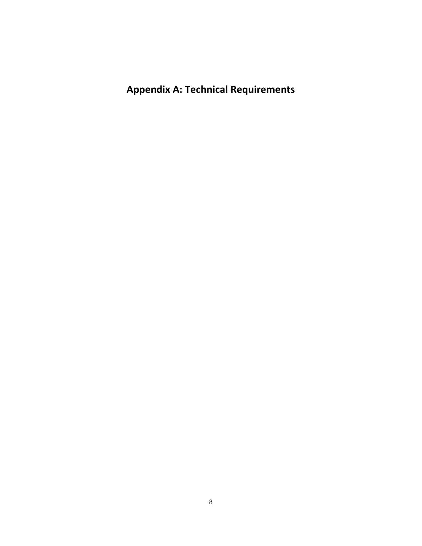<span id="page-7-0"></span>**Appendix A: Technical Requirements**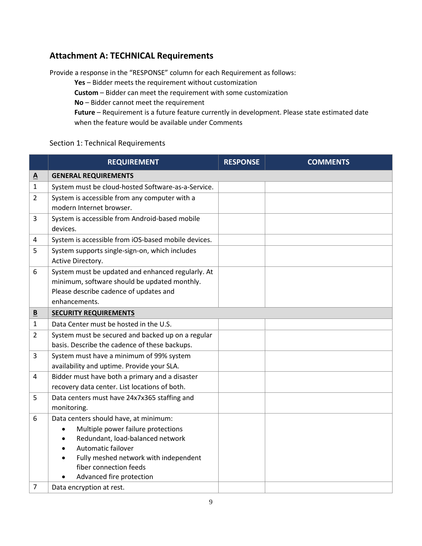### **Attachment A: TECHNICAL Requirements**

Provide a response in the "RESPONSE" column for each Requirement as follows:

**Yes** – Bidder meets the requirement without customization

**Custom** – Bidder can meet the requirement with some customization

**No** – Bidder cannot meet the requirement

**Future** – Requirement is a future feature currently in development. Please state estimated date when the feature would be available under Comments

#### Section 1: Technical Requirements

|                          | <b>REQUIREMENT</b>                                                                                                                                                                                                                                | <b>RESPONSE</b> | <b>COMMENTS</b> |
|--------------------------|---------------------------------------------------------------------------------------------------------------------------------------------------------------------------------------------------------------------------------------------------|-----------------|-----------------|
| $\underline{\mathbf{A}}$ | <b>GENERAL REQUIREMENTS</b>                                                                                                                                                                                                                       |                 |                 |
| 1                        | System must be cloud-hosted Software-as-a-Service.                                                                                                                                                                                                |                 |                 |
| $\overline{2}$           | System is accessible from any computer with a<br>modern Internet browser.                                                                                                                                                                         |                 |                 |
| 3                        | System is accessible from Android-based mobile<br>devices.                                                                                                                                                                                        |                 |                 |
| 4                        | System is accessible from iOS-based mobile devices.                                                                                                                                                                                               |                 |                 |
| 5                        | System supports single-sign-on, which includes<br>Active Directory.                                                                                                                                                                               |                 |                 |
| 6                        | System must be updated and enhanced regularly. At<br>minimum, software should be updated monthly.<br>Please describe cadence of updates and<br>enhancements.                                                                                      |                 |                 |
| $\overline{\mathbf{B}}$  | <b>SECURITY REQUIREMENTS</b>                                                                                                                                                                                                                      |                 |                 |
| $\mathbf{1}$             | Data Center must be hosted in the U.S.                                                                                                                                                                                                            |                 |                 |
| $\overline{2}$           | System must be secured and backed up on a regular<br>basis. Describe the cadence of these backups.                                                                                                                                                |                 |                 |
| 3                        | System must have a minimum of 99% system<br>availability and uptime. Provide your SLA.                                                                                                                                                            |                 |                 |
| 4                        | Bidder must have both a primary and a disaster<br>recovery data center. List locations of both.                                                                                                                                                   |                 |                 |
| 5                        | Data centers must have 24x7x365 staffing and<br>monitoring.                                                                                                                                                                                       |                 |                 |
| 6                        | Data centers should have, at minimum:<br>Multiple power failure protections<br>Redundant, load-balanced network<br>Automatic failover<br>$\bullet$<br>Fully meshed network with independent<br>fiber connection feeds<br>Advanced fire protection |                 |                 |
| 7                        | Data encryption at rest.                                                                                                                                                                                                                          |                 |                 |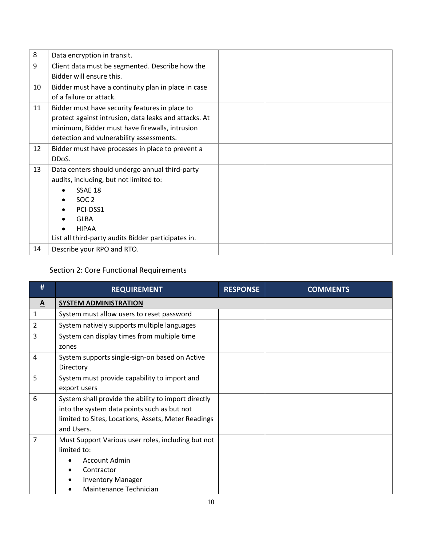| 8  | Data encryption in transit.                           |  |
|----|-------------------------------------------------------|--|
| 9  | Client data must be segmented. Describe how the       |  |
|    | Bidder will ensure this.                              |  |
| 10 | Bidder must have a continuity plan in place in case   |  |
|    | of a failure or attack.                               |  |
| 11 | Bidder must have security features in place to        |  |
|    | protect against intrusion, data leaks and attacks. At |  |
|    | minimum, Bidder must have firewalls, intrusion        |  |
|    | detection and vulnerability assessments.              |  |
| 12 | Bidder must have processes in place to prevent a      |  |
|    | DDoS.                                                 |  |
| 13 | Data centers should undergo annual third-party        |  |
|    | audits, including, but not limited to:                |  |
|    | SSAE 18                                               |  |
|    | SOC <sub>2</sub>                                      |  |
|    | PCI-DSS1                                              |  |
|    | <b>GLBA</b>                                           |  |
|    | <b>HIPAA</b>                                          |  |
|    | List all third-party audits Bidder participates in.   |  |
| 14 | Describe your RPO and RTO.                            |  |

### Section 2: Core Functional Requirements

| #                        | <b>REQUIREMENT</b>                                                                                                                                                      | <b>RESPONSE</b> | <b>COMMENTS</b> |
|--------------------------|-------------------------------------------------------------------------------------------------------------------------------------------------------------------------|-----------------|-----------------|
| $\underline{\mathbf{A}}$ | <b>SYSTEM ADMINISTRATION</b>                                                                                                                                            |                 |                 |
| 1                        | System must allow users to reset password                                                                                                                               |                 |                 |
| $\overline{2}$           | System natively supports multiple languages                                                                                                                             |                 |                 |
| 3                        | System can display times from multiple time<br>zones                                                                                                                    |                 |                 |
| 4                        | System supports single-sign-on based on Active<br>Directory                                                                                                             |                 |                 |
| 5                        | System must provide capability to import and<br>export users                                                                                                            |                 |                 |
| 6                        | System shall provide the ability to import directly<br>into the system data points such as but not<br>limited to Sites, Locations, Assets, Meter Readings<br>and Users. |                 |                 |
| 7                        | Must Support Various user roles, including but not<br>limited to:<br>Account Admin<br>Contractor<br><b>Inventory Manager</b><br>Maintenance Technician                  |                 |                 |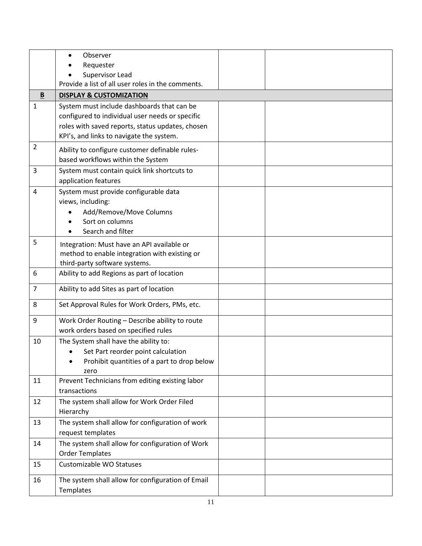| Requester<br>Supervisor Lead<br>Provide a list of all user roles in the comments.<br>B<br><b>DISPLAY &amp; CUSTOMIZATION</b><br>$\mathbf{1}$<br>System must include dashboards that can be<br>configured to individual user needs or specific<br>roles with saved reports, status updates, chosen<br>KPI's, and links to navigate the system.<br>$\overline{2}$<br>Ability to configure customer definable rules-<br>based workflows within the System<br>3<br>System must contain quick link shortcuts to<br>application features<br>System must provide configurable data<br>$\overline{4}$ |  |
|-----------------------------------------------------------------------------------------------------------------------------------------------------------------------------------------------------------------------------------------------------------------------------------------------------------------------------------------------------------------------------------------------------------------------------------------------------------------------------------------------------------------------------------------------------------------------------------------------|--|
|                                                                                                                                                                                                                                                                                                                                                                                                                                                                                                                                                                                               |  |
|                                                                                                                                                                                                                                                                                                                                                                                                                                                                                                                                                                                               |  |
|                                                                                                                                                                                                                                                                                                                                                                                                                                                                                                                                                                                               |  |
|                                                                                                                                                                                                                                                                                                                                                                                                                                                                                                                                                                                               |  |
|                                                                                                                                                                                                                                                                                                                                                                                                                                                                                                                                                                                               |  |
|                                                                                                                                                                                                                                                                                                                                                                                                                                                                                                                                                                                               |  |
|                                                                                                                                                                                                                                                                                                                                                                                                                                                                                                                                                                                               |  |
|                                                                                                                                                                                                                                                                                                                                                                                                                                                                                                                                                                                               |  |
|                                                                                                                                                                                                                                                                                                                                                                                                                                                                                                                                                                                               |  |
|                                                                                                                                                                                                                                                                                                                                                                                                                                                                                                                                                                                               |  |
|                                                                                                                                                                                                                                                                                                                                                                                                                                                                                                                                                                                               |  |
|                                                                                                                                                                                                                                                                                                                                                                                                                                                                                                                                                                                               |  |
|                                                                                                                                                                                                                                                                                                                                                                                                                                                                                                                                                                                               |  |
| views, including:                                                                                                                                                                                                                                                                                                                                                                                                                                                                                                                                                                             |  |
| Add/Remove/Move Columns                                                                                                                                                                                                                                                                                                                                                                                                                                                                                                                                                                       |  |
| Sort on columns                                                                                                                                                                                                                                                                                                                                                                                                                                                                                                                                                                               |  |
| Search and filter                                                                                                                                                                                                                                                                                                                                                                                                                                                                                                                                                                             |  |
| 5<br>Integration: Must have an API available or                                                                                                                                                                                                                                                                                                                                                                                                                                                                                                                                               |  |
| method to enable integration with existing or                                                                                                                                                                                                                                                                                                                                                                                                                                                                                                                                                 |  |
| third-party software systems.                                                                                                                                                                                                                                                                                                                                                                                                                                                                                                                                                                 |  |
| 6<br>Ability to add Regions as part of location                                                                                                                                                                                                                                                                                                                                                                                                                                                                                                                                               |  |
| $\overline{7}$<br>Ability to add Sites as part of location                                                                                                                                                                                                                                                                                                                                                                                                                                                                                                                                    |  |
| 8<br>Set Approval Rules for Work Orders, PMs, etc.                                                                                                                                                                                                                                                                                                                                                                                                                                                                                                                                            |  |
| Work Order Routing - Describe ability to route<br>9                                                                                                                                                                                                                                                                                                                                                                                                                                                                                                                                           |  |
| work orders based on specified rules                                                                                                                                                                                                                                                                                                                                                                                                                                                                                                                                                          |  |
| The System shall have the ability to:<br>10                                                                                                                                                                                                                                                                                                                                                                                                                                                                                                                                                   |  |
| Set Part reorder point calculation                                                                                                                                                                                                                                                                                                                                                                                                                                                                                                                                                            |  |
| Prohibit quantities of a part to drop below<br>٠                                                                                                                                                                                                                                                                                                                                                                                                                                                                                                                                              |  |
| zero                                                                                                                                                                                                                                                                                                                                                                                                                                                                                                                                                                                          |  |
| 11<br>Prevent Technicians from editing existing labor                                                                                                                                                                                                                                                                                                                                                                                                                                                                                                                                         |  |
| transactions                                                                                                                                                                                                                                                                                                                                                                                                                                                                                                                                                                                  |  |
| 12<br>The system shall allow for Work Order Filed                                                                                                                                                                                                                                                                                                                                                                                                                                                                                                                                             |  |
| Hierarchy                                                                                                                                                                                                                                                                                                                                                                                                                                                                                                                                                                                     |  |
| The system shall allow for configuration of work<br>13                                                                                                                                                                                                                                                                                                                                                                                                                                                                                                                                        |  |
| request templates                                                                                                                                                                                                                                                                                                                                                                                                                                                                                                                                                                             |  |
| The system shall allow for configuration of Work<br>14                                                                                                                                                                                                                                                                                                                                                                                                                                                                                                                                        |  |
| <b>Order Templates</b>                                                                                                                                                                                                                                                                                                                                                                                                                                                                                                                                                                        |  |
| Customizable WO Statuses<br>15                                                                                                                                                                                                                                                                                                                                                                                                                                                                                                                                                                |  |
| 16<br>The system shall allow for configuration of Email<br>Templates                                                                                                                                                                                                                                                                                                                                                                                                                                                                                                                          |  |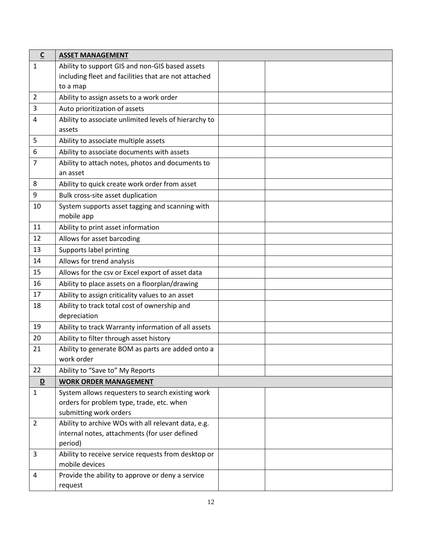| $\underline{\mathsf{C}}$ | <b>ASSET MANAGEMENT</b>                                                                              |  |
|--------------------------|------------------------------------------------------------------------------------------------------|--|
| 1                        | Ability to support GIS and non-GIS based assets                                                      |  |
|                          | including fleet and facilities that are not attached                                                 |  |
|                          | to a map                                                                                             |  |
| 2                        | Ability to assign assets to a work order                                                             |  |
| 3                        | Auto prioritization of assets                                                                        |  |
| 4                        | Ability to associate unlimited levels of hierarchy to                                                |  |
|                          | assets                                                                                               |  |
| 5                        | Ability to associate multiple assets                                                                 |  |
| 6                        | Ability to associate documents with assets                                                           |  |
| 7                        | Ability to attach notes, photos and documents to<br>an asset                                         |  |
| 8                        | Ability to quick create work order from asset                                                        |  |
| 9                        | Bulk cross-site asset duplication                                                                    |  |
| 10                       | System supports asset tagging and scanning with                                                      |  |
|                          | mobile app                                                                                           |  |
| 11                       | Ability to print asset information                                                                   |  |
| 12                       | Allows for asset barcoding                                                                           |  |
| 13                       | Supports label printing                                                                              |  |
| 14                       | Allows for trend analysis                                                                            |  |
| 15                       | Allows for the csv or Excel export of asset data                                                     |  |
| 16                       | Ability to place assets on a floorplan/drawing                                                       |  |
| 17                       | Ability to assign criticality values to an asset                                                     |  |
| 18                       | Ability to track total cost of ownership and                                                         |  |
|                          | depreciation                                                                                         |  |
| 19                       | Ability to track Warranty information of all assets                                                  |  |
| 20                       | Ability to filter through asset history                                                              |  |
| 21                       | Ability to generate BOM as parts are added onto a                                                    |  |
|                          | work order                                                                                           |  |
| 22                       | Ability to "Save to" My Reports                                                                      |  |
| D                        | <b>WORK ORDER MANAGEMENT</b>                                                                         |  |
| $\mathbf{1}$             | System allows requesters to search existing work                                                     |  |
|                          | orders for problem type, trade, etc. when                                                            |  |
|                          | submitting work orders                                                                               |  |
| $\overline{2}$           | Ability to archive WOs with all relevant data, e.g.<br>internal notes, attachments (for user defined |  |
|                          | period)                                                                                              |  |
| 3                        | Ability to receive service requests from desktop or                                                  |  |
|                          | mobile devices                                                                                       |  |
| 4                        | Provide the ability to approve or deny a service                                                     |  |
|                          | request                                                                                              |  |
|                          |                                                                                                      |  |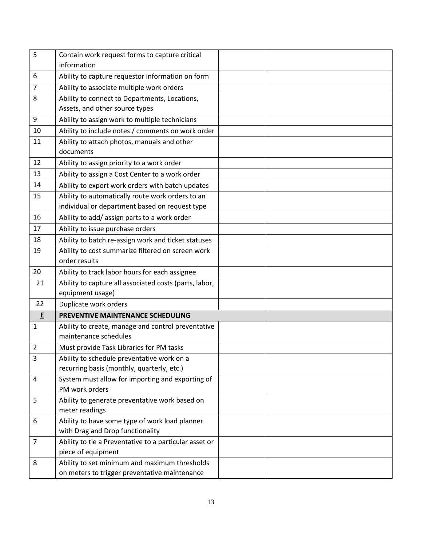| 5  | Contain work request forms to capture critical<br>information |  |
|----|---------------------------------------------------------------|--|
|    |                                                               |  |
| 6  | Ability to capture requestor information on form              |  |
| 7  | Ability to associate multiple work orders                     |  |
| 8  | Ability to connect to Departments, Locations,                 |  |
|    | Assets, and other source types                                |  |
| 9  | Ability to assign work to multiple technicians                |  |
| 10 | Ability to include notes / comments on work order             |  |
| 11 | Ability to attach photos, manuals and other                   |  |
|    | documents                                                     |  |
| 12 | Ability to assign priority to a work order                    |  |
| 13 | Ability to assign a Cost Center to a work order               |  |
| 14 | Ability to export work orders with batch updates              |  |
| 15 | Ability to automatically route work orders to an              |  |
|    | individual or department based on request type                |  |
| 16 | Ability to add/ assign parts to a work order                  |  |
| 17 | Ability to issue purchase orders                              |  |
| 18 | Ability to batch re-assign work and ticket statuses           |  |
| 19 | Ability to cost summarize filtered on screen work             |  |
|    | order results                                                 |  |
| 20 | Ability to track labor hours for each assignee                |  |
| 21 | Ability to capture all associated costs (parts, labor,        |  |
|    | equipment usage)                                              |  |
| 22 | Duplicate work orders                                         |  |
| E  | PREVENTIVE MAINTENANCE SCHEDULING                             |  |
| 1  | Ability to create, manage and control preventative            |  |
|    | maintenance schedules                                         |  |
| 2  | Must provide Task Libraries for PM tasks                      |  |
| 3  | Ability to schedule preventative work on a                    |  |
|    | recurring basis (monthly, quarterly, etc.)                    |  |
| 4  | System must allow for importing and exporting of              |  |
|    | PM work orders                                                |  |
| 5  | Ability to generate preventative work based on                |  |
|    | meter readings                                                |  |
| 6  | Ability to have some type of work load planner                |  |
|    | with Drag and Drop functionality                              |  |
| 7  | Ability to tie a Preventative to a particular asset or        |  |
|    | piece of equipment                                            |  |
| 8  | Ability to set minimum and maximum thresholds                 |  |
|    | on meters to trigger preventative maintenance                 |  |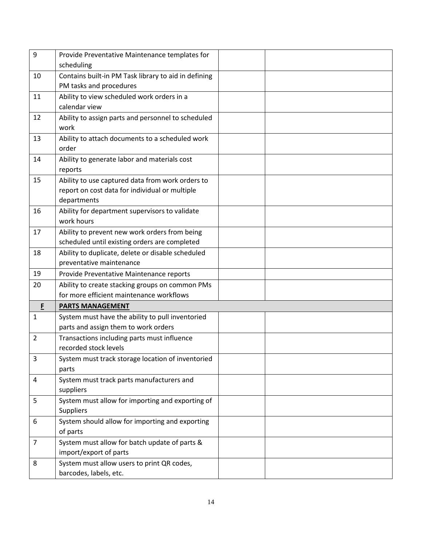| 9              | Provide Preventative Maintenance templates for       |
|----------------|------------------------------------------------------|
|                | scheduling                                           |
| 10             | Contains built-in PM Task library to aid in defining |
|                | PM tasks and procedures                              |
| 11             | Ability to view scheduled work orders in a           |
|                | calendar view                                        |
| 12             | Ability to assign parts and personnel to scheduled   |
|                | work                                                 |
| 13             | Ability to attach documents to a scheduled work      |
|                | order                                                |
| 14             | Ability to generate labor and materials cost         |
|                | reports                                              |
| 15             | Ability to use captured data from work orders to     |
|                | report on cost data for individual or multiple       |
|                | departments                                          |
| 16             | Ability for department supervisors to validate       |
|                | work hours                                           |
| 17             | Ability to prevent new work orders from being        |
|                | scheduled until existing orders are completed        |
| 18             | Ability to duplicate, delete or disable scheduled    |
|                | preventative maintenance                             |
| 19             | Provide Preventative Maintenance reports             |
| 20             | Ability to create stacking groups on common PMs      |
|                | for more efficient maintenance workflows             |
| F              | <b>PARTS MANAGEMENT</b>                              |
| $\mathbf{1}$   | System must have the ability to pull inventoried     |
|                | parts and assign them to work orders                 |
| $\overline{2}$ | Transactions including parts must influence          |
|                | recorded stock levels                                |
| 3              | System must track storage location of inventoried    |
|                | parts                                                |
| $\overline{a}$ | System must track parts manufacturers and            |
|                | suppliers                                            |
| 5              | System must allow for importing and exporting of     |
|                | Suppliers                                            |
| 6              | System should allow for importing and exporting      |
|                | of parts                                             |
| $\overline{7}$ | System must allow for batch update of parts &        |
|                | import/export of parts                               |
| 8              | System must allow users to print QR codes,           |
|                | barcodes, labels, etc.                               |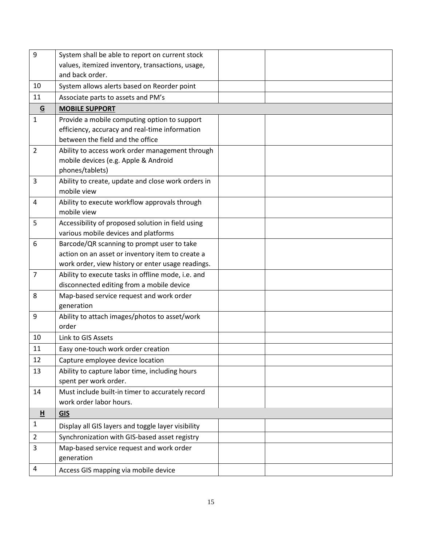| 9               | System shall be able to report on current stock    |  |
|-----------------|----------------------------------------------------|--|
|                 | values, itemized inventory, transactions, usage,   |  |
|                 | and back order.                                    |  |
| 10              | System allows alerts based on Reorder point        |  |
| 11              | Associate parts to assets and PM's                 |  |
| $\underline{G}$ | <b>MOBILE SUPPORT</b>                              |  |
| $\mathbf{1}$    | Provide a mobile computing option to support       |  |
|                 | efficiency, accuracy and real-time information     |  |
|                 | between the field and the office                   |  |
| 2               | Ability to access work order management through    |  |
|                 | mobile devices (e.g. Apple & Android               |  |
|                 | phones/tablets)                                    |  |
| 3               | Ability to create, update and close work orders in |  |
|                 | mobile view                                        |  |
| 4               | Ability to execute workflow approvals through      |  |
|                 | mobile view                                        |  |
| 5               | Accessibility of proposed solution in field using  |  |
|                 | various mobile devices and platforms               |  |
| 6               | Barcode/QR scanning to prompt user to take         |  |
|                 | action on an asset or inventory item to create a   |  |
|                 | work order, view history or enter usage readings.  |  |
| $\overline{7}$  | Ability to execute tasks in offline mode, i.e. and |  |
|                 | disconnected editing from a mobile device          |  |
| 8               | Map-based service request and work order           |  |
|                 | generation                                         |  |
| 9               | Ability to attach images/photos to asset/work      |  |
|                 | order                                              |  |
| 10              | Link to GIS Assets                                 |  |
| 11              | Easy one-touch work order creation                 |  |
| 12              | Capture employee device location                   |  |
| 13              | Ability to capture labor time, including hours     |  |
|                 | spent per work order.                              |  |
| 14              | Must include built-in timer to accurately record   |  |
|                 | work order labor hours.                            |  |
| H               | <b>GIS</b>                                         |  |
| $\mathbf{1}$    | Display all GIS layers and toggle layer visibility |  |
| $\overline{2}$  | Synchronization with GIS-based asset registry      |  |
| 3               | Map-based service request and work order           |  |
|                 | generation                                         |  |
| 4               | Access GIS mapping via mobile device               |  |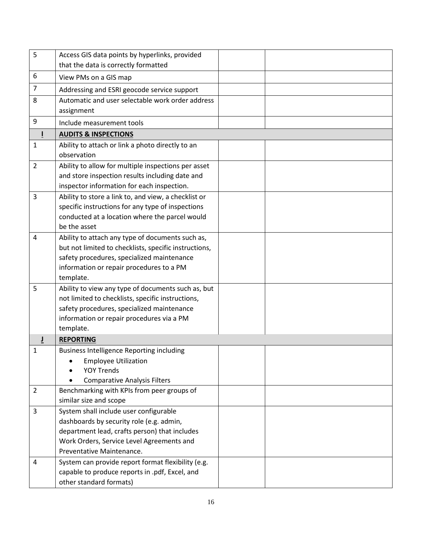| 5              | Access GIS data points by hyperlinks, provided                                                          |
|----------------|---------------------------------------------------------------------------------------------------------|
|                | that the data is correctly formatted                                                                    |
| 6              | View PMs on a GIS map                                                                                   |
| 7              | Addressing and ESRI geocode service support                                                             |
| 8              | Automatic and user selectable work order address                                                        |
|                | assignment                                                                                              |
| 9              | Include measurement tools                                                                               |
| L              | <b>AUDITS &amp; INSPECTIONS</b>                                                                         |
| 1              | Ability to attach or link a photo directly to an                                                        |
|                | observation                                                                                             |
| $\overline{2}$ | Ability to allow for multiple inspections per asset                                                     |
|                | and store inspection results including date and                                                         |
|                | inspector information for each inspection.                                                              |
| 3              | Ability to store a link to, and view, a checklist or                                                    |
|                | specific instructions for any type of inspections                                                       |
|                | conducted at a location where the parcel would                                                          |
|                | be the asset                                                                                            |
| 4              | Ability to attach any type of documents such as,                                                        |
|                | but not limited to checklists, specific instructions,                                                   |
|                | safety procedures, specialized maintenance                                                              |
|                | information or repair procedures to a PM                                                                |
| 5              | template.                                                                                               |
|                | Ability to view any type of documents such as, but<br>not limited to checklists, specific instructions, |
|                | safety procedures, specialized maintenance                                                              |
|                | information or repair procedures via a PM                                                               |
|                | template.                                                                                               |
| J              | <b>REPORTING</b>                                                                                        |
| 1              | <b>Business Intelligence Reporting including</b>                                                        |
|                | <b>Employee Utilization</b>                                                                             |
|                | <b>YOY Trends</b>                                                                                       |
|                | <b>Comparative Analysis Filters</b>                                                                     |
| $\overline{2}$ | Benchmarking with KPIs from peer groups of                                                              |
|                | similar size and scope                                                                                  |
| 3              | System shall include user configurable                                                                  |
|                | dashboards by security role (e.g. admin,                                                                |
|                | department lead, crafts person) that includes                                                           |
|                | Work Orders, Service Level Agreements and                                                               |
|                | Preventative Maintenance.                                                                               |
| 4              | System can provide report format flexibility (e.g.                                                      |
|                | capable to produce reports in .pdf, Excel, and                                                          |
|                | other standard formats)                                                                                 |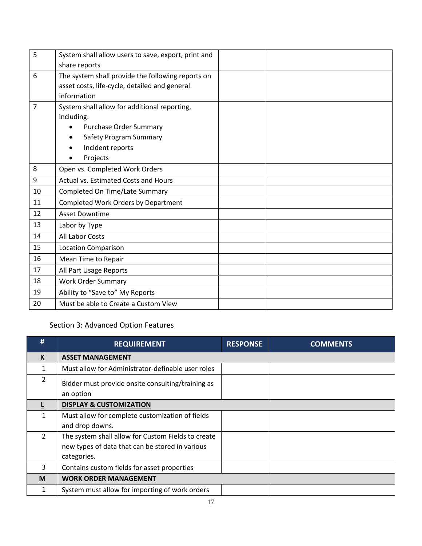| 5  | System shall allow users to save, export, print and |  |
|----|-----------------------------------------------------|--|
|    | share reports                                       |  |
| 6  | The system shall provide the following reports on   |  |
|    | asset costs, life-cycle, detailed and general       |  |
|    | information                                         |  |
| 7  | System shall allow for additional reporting,        |  |
|    | including:                                          |  |
|    | <b>Purchase Order Summary</b>                       |  |
|    | Safety Program Summary                              |  |
|    | Incident reports                                    |  |
|    | Projects                                            |  |
| 8  | Open vs. Completed Work Orders                      |  |
| 9  | Actual vs. Estimated Costs and Hours                |  |
| 10 | Completed On Time/Late Summary                      |  |
| 11 | Completed Work Orders by Department                 |  |
| 12 | <b>Asset Downtime</b>                               |  |
| 13 | Labor by Type                                       |  |
| 14 | All Labor Costs                                     |  |
| 15 | <b>Location Comparison</b>                          |  |
| 16 | Mean Time to Repair                                 |  |
| 17 | All Part Usage Reports                              |  |
| 18 | <b>Work Order Summary</b>                           |  |
| 19 | Ability to "Save to" My Reports                     |  |
| 20 | Must be able to Create a Custom View                |  |

### Section 3: Advanced Option Features

| #                        | <b>REQUIREMENT</b>                                             | <b>RESPONSE</b> | <b>COMMENTS</b> |
|--------------------------|----------------------------------------------------------------|-----------------|-----------------|
| $\underline{\mathsf{K}}$ | <b>ASSET MANAGEMENT</b>                                        |                 |                 |
|                          | Must allow for Administrator-definable user roles              |                 |                 |
| 2                        | Bidder must provide onsite consulting/training as<br>an option |                 |                 |
|                          | <b>DISPLAY &amp; CUSTOMIZATION</b>                             |                 |                 |
|                          | Must allow for complete customization of fields                |                 |                 |
|                          | and drop downs.                                                |                 |                 |
| $\mathcal{P}$            | The system shall allow for Custom Fields to create             |                 |                 |
|                          | new types of data that can be stored in various                |                 |                 |
|                          | categories.                                                    |                 |                 |
| 3                        | Contains custom fields for asset properties                    |                 |                 |
| M                        | <b>WORK ORDER MANAGEMENT</b>                                   |                 |                 |
|                          | System must allow for importing of work orders                 |                 |                 |